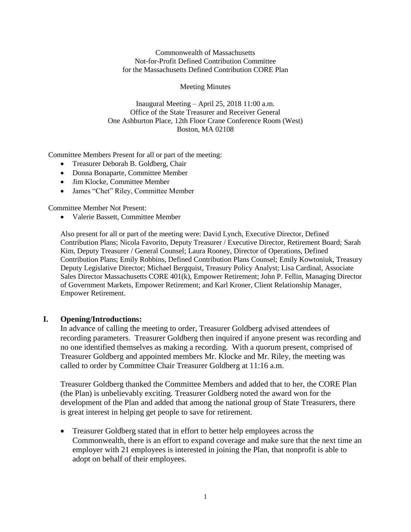Commonwealth of Massachusetts Not-for-Profit Defined Contribution Committee for the Massachusetts Defined Contribution CORE Plan

#### Meeting Minutes

Inaugural Meeting – April 25, 2018 11:00 a.m. Office of the State Treasurer and Receiver General One Ashburton Place, 12th Floor Crane Conference Room (West) Boston, MA 02108

Committee Members Present for all or part of the meeting:

- Treasurer Deborah B. Goldberg, Chair
- Donna Bonaparte, Committee Member
- Jim Klocke, Committee Member
- James "Chet" Riley, Committee Member

Committee Member Not Present:

• Valerie Bassett, Committee Member

Also present for all or part of the meeting were: David Lynch, Executive Director, Defined Contribution Plans; Nicola Favorito, Deputy Treasurer / Executive Director, Retirement Board; Sarah Kim, Deputy Treasurer / General Counsel; Laura Rooney, Director of Operations, Defined Contribution Plans; Emily Robbins, Defined Contribution Plans Counsel; Emily Kowtoniuk, Treasury Deputy Legislative Director; Michael Bergquist, Treasury Policy Analyst; Lisa Cardinal, Associate Sales Director Massachusetts CORE 401(k), Empower Retirement; John P. Fellin, Managing Director of Government Markets, Empower Retirement; and Karl Kroner, Client Relationship Manager, Empower Retirement.

#### **I. Opening/Introductions:**

In advance of calling the meeting to order, Treasurer Goldberg advised attendees of recording parameters. Treasurer Goldberg then inquired if anyone present was recording and no one identified themselves as making a recording. With a quorum present, comprised of Treasurer Goldberg and appointed members Mr. Klocke and Mr. Riley, the meeting was called to order by Committee Chair Treasurer Goldberg at 11:16 a.m.

Treasurer Goldberg thanked the Committee Members and added that to her, the CORE Plan (the Plan) is unbelievably exciting. Treasurer Goldberg noted the award won for the development of the Plan and added that among the national group of State Treasurers, there is great interest in helping get people to save for retirement.

• Treasurer Goldberg stated that in effort to better help employees across the Commonwealth, there is an effort to expand coverage and make sure that the next time an employer with 21 employees is interested in joining the Plan, that nonprofit is able to adopt on behalf of their employees.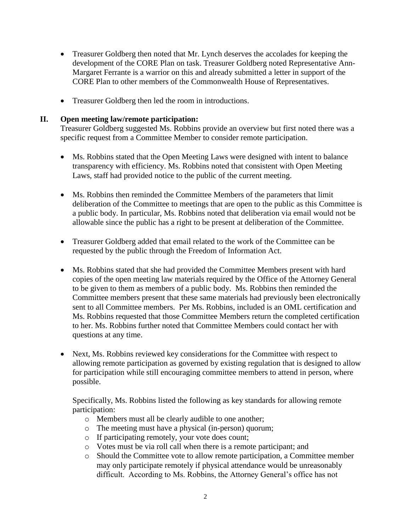- Treasurer Goldberg then noted that Mr. Lynch deserves the accolades for keeping the development of the CORE Plan on task. Treasurer Goldberg noted Representative Ann-Margaret Ferrante is a warrior on this and already submitted a letter in support of the CORE Plan to other members of the Commonwealth House of Representatives.
- Treasurer Goldberg then led the room in introductions.

#### **II. Open meeting law/remote participation:**

Treasurer Goldberg suggested Ms. Robbins provide an overview but first noted there was a specific request from a Committee Member to consider remote participation.

- Ms. Robbins stated that the Open Meeting Laws were designed with intent to balance transparency with efficiency. Ms. Robbins noted that consistent with Open Meeting Laws, staff had provided notice to the public of the current meeting.
- Ms. Robbins then reminded the Committee Members of the parameters that limit deliberation of the Committee to meetings that are open to the public as this Committee is a public body. In particular, Ms. Robbins noted that deliberation via email would not be allowable since the public has a right to be present at deliberation of the Committee.
- Treasurer Goldberg added that email related to the work of the Committee can be requested by the public through the Freedom of Information Act.
- Ms. Robbins stated that she had provided the Committee Members present with hard copies of the open meeting law materials required by the Office of the Attorney General to be given to them as members of a public body. Ms. Robbins then reminded the Committee members present that these same materials had previously been electronically sent to all Committee members. Per Ms. Robbins, included is an OML certification and Ms. Robbins requested that those Committee Members return the completed certification to her. Ms. Robbins further noted that Committee Members could contact her with questions at any time.
- Next, Ms. Robbins reviewed key considerations for the Committee with respect to allowing remote participation as governed by existing regulation that is designed to allow for participation while still encouraging committee members to attend in person, where possible.

Specifically, Ms. Robbins listed the following as key standards for allowing remote participation:

- o Members must all be clearly audible to one another;
- o The meeting must have a physical (in-person) quorum;
- o If participating remotely, your vote does count;
- o Votes must be via roll call when there is a remote participant; and
- o Should the Committee vote to allow remote participation, a Committee member may only participate remotely if physical attendance would be unreasonably difficult. According to Ms. Robbins, the Attorney General's office has not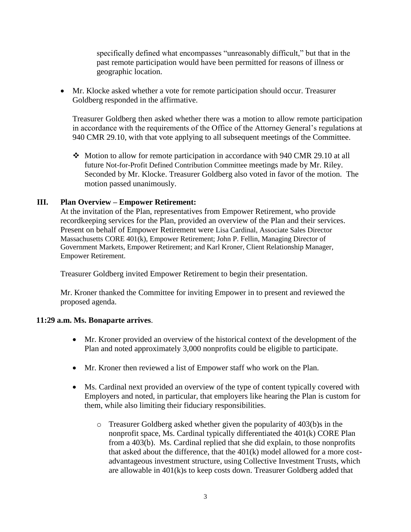specifically defined what encompasses "unreasonably difficult," but that in the past remote participation would have been permitted for reasons of illness or geographic location.

• Mr. Klocke asked whether a vote for remote participation should occur. Treasurer Goldberg responded in the affirmative.

Treasurer Goldberg then asked whether there was a motion to allow remote participation in accordance with the requirements of the Office of the Attorney General's regulations at 940 CMR 29.10, with that vote applying to all subsequent meetings of the Committee.

❖ Motion to allow for remote participation in accordance with 940 CMR 29.10 at all future Not-for-Profit Defined Contribution Committee meetings made by Mr. Riley. Seconded by Mr. Klocke. Treasurer Goldberg also voted in favor of the motion. The motion passed unanimously.

## **III. Plan Overview – Empower Retirement:**

At the invitation of the Plan, representatives from Empower Retirement, who provide recordkeeping services for the Plan, provided an overview of the Plan and their services. Present on behalf of Empower Retirement were Lisa Cardinal, Associate Sales Director Massachusetts CORE 401(k), Empower Retirement; John P. Fellin, Managing Director of Government Markets, Empower Retirement; and Karl Kroner, Client Relationship Manager, Empower Retirement.

Treasurer Goldberg invited Empower Retirement to begin their presentation.

Mr. Kroner thanked the Committee for inviting Empower in to present and reviewed the proposed agenda.

#### **11:29 a.m. Ms. Bonaparte arrives**.

- Mr. Kroner provided an overview of the historical context of the development of the Plan and noted approximately 3,000 nonprofits could be eligible to participate.
- Mr. Kroner then reviewed a list of Empower staff who work on the Plan.
- Ms. Cardinal next provided an overview of the type of content typically covered with Employers and noted, in particular, that employers like hearing the Plan is custom for them, while also limiting their fiduciary responsibilities.
	- o Treasurer Goldberg asked whether given the popularity of 403(b)s in the nonprofit space, Ms. Cardinal typically differentiated the 401(k) CORE Plan from a 403(b). Ms. Cardinal replied that she did explain, to those nonprofits that asked about the difference, that the 401(k) model allowed for a more costadvantageous investment structure, using Collective Investment Trusts, which are allowable in 401(k)s to keep costs down. Treasurer Goldberg added that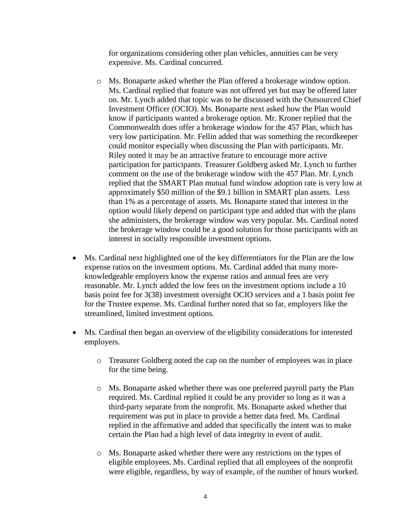for organizations considering other plan vehicles, annuities can be very expensive. Ms. Cardinal concurred.

- o Ms. Bonaparte asked whether the Plan offered a brokerage window option. Ms. Cardinal replied that feature was not offered yet but may be offered later on. Mr. Lynch added that topic was to be discussed with the Outsourced Chief Investment Officer (OCIO). Ms. Bonaparte next asked how the Plan would know if participants wanted a brokerage option. Mr. Kroner replied that the Commonwealth does offer a brokerage window for the 457 Plan, which has very low participation. Mr. Fellin added that was something the recordkeeper could monitor especially when discussing the Plan with participants. Mr. Riley noted it may be an attractive feature to encourage more active participation for participants. Treasurer Goldberg asked Mr. Lynch to further comment on the use of the brokerage window with the 457 Plan. Mr. Lynch replied that the SMART Plan mutual fund window adoption rate is very low at approximately \$50 million of the \$9.1 billion in SMART plan assets. Less than 1% as a percentage of assets. Ms. Bonaparte stated that interest in the option would likely depend on participant type and added that with the plans she administers, the brokerage window was very popular. Ms. Cardinal noted the brokerage window could be a good solution for those participants with an interest in socially responsible investment options.
- Ms. Cardinal next highlighted one of the key differentiators for the Plan are the low expense ratios on the investment options. Ms. Cardinal added that many moreknowledgeable employers know the expense ratios and annual fees are very reasonable. Mr. Lynch added the low fees on the investment options include a 10 basis point fee for 3(38) investment oversight OCIO services and a 1 basis point fee for the Trustee expense. Ms. Cardinal further noted that so far, employers like the streamlined, limited investment options.
- Ms. Cardinal then began an overview of the eligibility considerations for interested employers.
	- o Treasurer Goldberg noted the cap on the number of employees was in place for the time being.
	- o Ms. Bonaparte asked whether there was one preferred payroll party the Plan required. Ms. Cardinal replied it could be any provider so long as it was a third-party separate from the nonprofit. Ms. Bonaparte asked whether that requirement was put in place to provide a better data feed. Ms. Cardinal replied in the affirmative and added that specifically the intent was to make certain the Plan had a high level of data integrity in event of audit.
	- o Ms. Bonaparte asked whether there were any restrictions on the types of eligible employees. Ms. Cardinal replied that all employees of the nonprofit were eligible, regardless, by way of example, of the number of hours worked.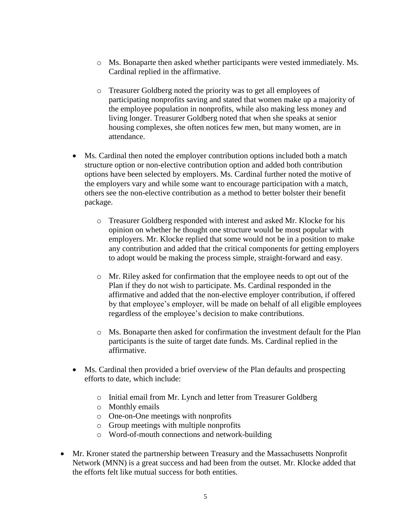- o Ms. Bonaparte then asked whether participants were vested immediately. Ms. Cardinal replied in the affirmative.
- o Treasurer Goldberg noted the priority was to get all employees of participating nonprofits saving and stated that women make up a majority of the employee population in nonprofits, while also making less money and living longer. Treasurer Goldberg noted that when she speaks at senior housing complexes, she often notices few men, but many women, are in attendance.
- Ms. Cardinal then noted the employer contribution options included both a match structure option or non-elective contribution option and added both contribution options have been selected by employers. Ms. Cardinal further noted the motive of the employers vary and while some want to encourage participation with a match, others see the non-elective contribution as a method to better bolster their benefit package.
	- o Treasurer Goldberg responded with interest and asked Mr. Klocke for his opinion on whether he thought one structure would be most popular with employers. Mr. Klocke replied that some would not be in a position to make any contribution and added that the critical components for getting employers to adopt would be making the process simple, straight-forward and easy.
	- o Mr. Riley asked for confirmation that the employee needs to opt out of the Plan if they do not wish to participate. Ms. Cardinal responded in the affirmative and added that the non-elective employer contribution, if offered by that employee's employer, will be made on behalf of all eligible employees regardless of the employee's decision to make contributions.
	- o Ms. Bonaparte then asked for confirmation the investment default for the Plan participants is the suite of target date funds. Ms. Cardinal replied in the affirmative.
- Ms. Cardinal then provided a brief overview of the Plan defaults and prospecting efforts to date, which include:
	- o Initial email from Mr. Lynch and letter from Treasurer Goldberg
	- o Monthly emails
	- o One-on-One meetings with nonprofits
	- o Group meetings with multiple nonprofits
	- o Word-of-mouth connections and network-building
- Mr. Kroner stated the partnership between Treasury and the Massachusetts Nonprofit Network (MNN) is a great success and had been from the outset. Mr. Klocke added that the efforts felt like mutual success for both entities.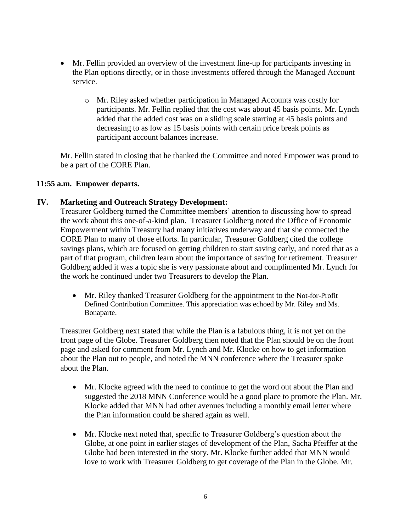- Mr. Fellin provided an overview of the investment line-up for participants investing in the Plan options directly, or in those investments offered through the Managed Account service.
	- o Mr. Riley asked whether participation in Managed Accounts was costly for participants. Mr. Fellin replied that the cost was about 45 basis points. Mr. Lynch added that the added cost was on a sliding scale starting at 45 basis points and decreasing to as low as 15 basis points with certain price break points as participant account balances increase.

Mr. Fellin stated in closing that he thanked the Committee and noted Empower was proud to be a part of the CORE Plan.

## **11:55 a.m. Empower departs.**

## **IV. Marketing and Outreach Strategy Development:**

Treasurer Goldberg turned the Committee members' attention to discussing how to spread the work about this one-of-a-kind plan. Treasurer Goldberg noted the Office of Economic Empowerment within Treasury had many initiatives underway and that she connected the CORE Plan to many of those efforts. In particular, Treasurer Goldberg cited the college savings plans, which are focused on getting children to start saving early, and noted that as a part of that program, children learn about the importance of saving for retirement. Treasurer Goldberg added it was a topic she is very passionate about and complimented Mr. Lynch for the work he continued under two Treasurers to develop the Plan.

• Mr. Riley thanked Treasurer Goldberg for the appointment to the Not-for-Profit Defined Contribution Committee. This appreciation was echoed by Mr. Riley and Ms. Bonaparte.

Treasurer Goldberg next stated that while the Plan is a fabulous thing, it is not yet on the front page of the Globe. Treasurer Goldberg then noted that the Plan should be on the front page and asked for comment from Mr. Lynch and Mr. Klocke on how to get information about the Plan out to people, and noted the MNN conference where the Treasurer spoke about the Plan.

- Mr. Klocke agreed with the need to continue to get the word out about the Plan and suggested the 2018 MNN Conference would be a good place to promote the Plan. Mr. Klocke added that MNN had other avenues including a monthly email letter where the Plan information could be shared again as well.
- Mr. Klocke next noted that, specific to Treasurer Goldberg's question about the Globe, at one point in earlier stages of development of the Plan, Sacha Pfeiffer at the Globe had been interested in the story. Mr. Klocke further added that MNN would love to work with Treasurer Goldberg to get coverage of the Plan in the Globe. Mr.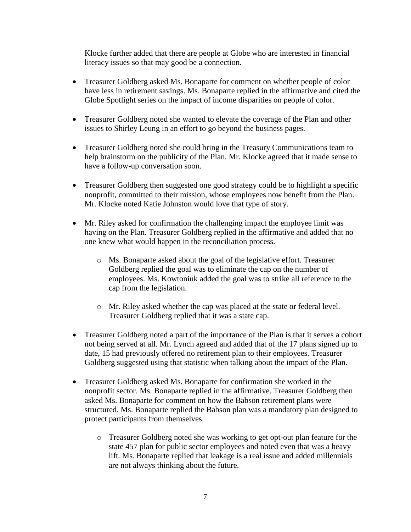Klocke further added that there are people at Globe who are interested in financial literacy issues so that may good be a connection.

- Treasurer Goldberg asked Ms. Bonaparte for comment on whether people of color have less in retirement savings. Ms. Bonaparte replied in the affirmative and cited the Globe Spotlight series on the impact of income disparities on people of color.
- Treasurer Goldberg noted she wanted to elevate the coverage of the Plan and other issues to Shirley Leung in an effort to go beyond the business pages.
- Treasurer Goldberg noted she could bring in the Treasury Communications team to help brainstorm on the publicity of the Plan. Mr. Klocke agreed that it made sense to have a follow-up conversation soon.
- Treasurer Goldberg then suggested one good strategy could be to highlight a specific nonprofit, committed to their mission, whose employees now benefit from the Plan. Mr. Klocke noted Katie Johnston would love that type of story.
- Mr. Riley asked for confirmation the challenging impact the employee limit was having on the Plan. Treasurer Goldberg replied in the affirmative and added that no one knew what would happen in the reconciliation process.
	- o Ms. Bonaparte asked about the goal of the legislative effort. Treasurer Goldberg replied the goal was to eliminate the cap on the number of employees. Ms. Kowtoniuk added the goal was to strike all reference to the cap from the legislation.
	- o Mr. Riley asked whether the cap was placed at the state or federal level. Treasurer Goldberg replied that it was a state cap.
- Treasurer Goldberg noted a part of the importance of the Plan is that it serves a cohort not being served at all. Mr. Lynch agreed and added that of the 17 plans signed up to date, 15 had previously offered no retirement plan to their employees. Treasurer Goldberg suggested using that statistic when talking about the impact of the Plan.
- Treasurer Goldberg asked Ms. Bonaparte for confirmation she worked in the nonprofit sector. Ms. Bonaparte replied in the affirmative. Treasurer Goldberg then asked Ms. Bonaparte for comment on how the Babson retirement plans were structured. Ms. Bonaparte replied the Babson plan was a mandatory plan designed to protect participants from themselves.
	- o Treasurer Goldberg noted she was working to get opt-out plan feature for the state 457 plan for public sector employees and noted even that was a heavy lift. Ms. Bonaparte replied that leakage is a real issue and added millennials are not always thinking about the future.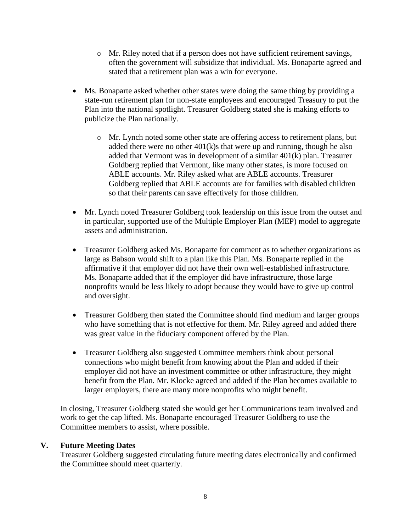- $\circ$  Mr. Riley noted that if a person does not have sufficient retirement savings, often the government will subsidize that individual. Ms. Bonaparte agreed and stated that a retirement plan was a win for everyone.
- Ms. Bonaparte asked whether other states were doing the same thing by providing a state-run retirement plan for non-state employees and encouraged Treasury to put the Plan into the national spotlight. Treasurer Goldberg stated she is making efforts to publicize the Plan nationally.
	- o Mr. Lynch noted some other state are offering access to retirement plans, but added there were no other  $401(k)$ s that were up and running, though he also added that Vermont was in development of a similar 401(k) plan. Treasurer Goldberg replied that Vermont, like many other states, is more focused on ABLE accounts. Mr. Riley asked what are ABLE accounts. Treasurer Goldberg replied that ABLE accounts are for families with disabled children so that their parents can save effectively for those children.
- Mr. Lynch noted Treasurer Goldberg took leadership on this issue from the outset and in particular, supported use of the Multiple Employer Plan (MEP) model to aggregate assets and administration.
- Treasurer Goldberg asked Ms. Bonaparte for comment as to whether organizations as large as Babson would shift to a plan like this Plan. Ms. Bonaparte replied in the affirmative if that employer did not have their own well-established infrastructure. Ms. Bonaparte added that if the employer did have infrastructure, those large nonprofits would be less likely to adopt because they would have to give up control and oversight.
- Treasurer Goldberg then stated the Committee should find medium and larger groups who have something that is not effective for them. Mr. Riley agreed and added there was great value in the fiduciary component offered by the Plan.
- Treasurer Goldberg also suggested Committee members think about personal connections who might benefit from knowing about the Plan and added if their employer did not have an investment committee or other infrastructure, they might benefit from the Plan. Mr. Klocke agreed and added if the Plan becomes available to larger employers, there are many more nonprofits who might benefit.

In closing, Treasurer Goldberg stated she would get her Communications team involved and work to get the cap lifted. Ms. Bonaparte encouraged Treasurer Goldberg to use the Committee members to assist, where possible.

#### **V. Future Meeting Dates**

Treasurer Goldberg suggested circulating future meeting dates electronically and confirmed the Committee should meet quarterly.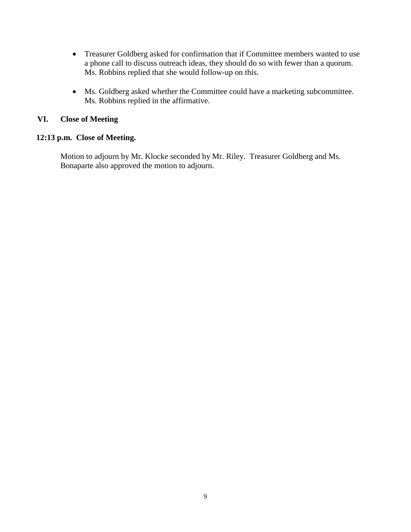- Treasurer Goldberg asked for confirmation that if Committee members wanted to use a phone call to discuss outreach ideas, they should do so with fewer than a quorum. Ms. Robbins replied that she would follow-up on this.
- Ms. Goldberg asked whether the Committee could have a marketing subcommittee. Ms. Robbins replied in the affirmative.

# **VI. Close of Meeting**

## **12:13 p.m. Close of Meeting.**

Motion to adjourn by Mr. Klocke seconded by Mr. Riley. Treasurer Goldberg and Ms. Bonaparte also approved the motion to adjourn.